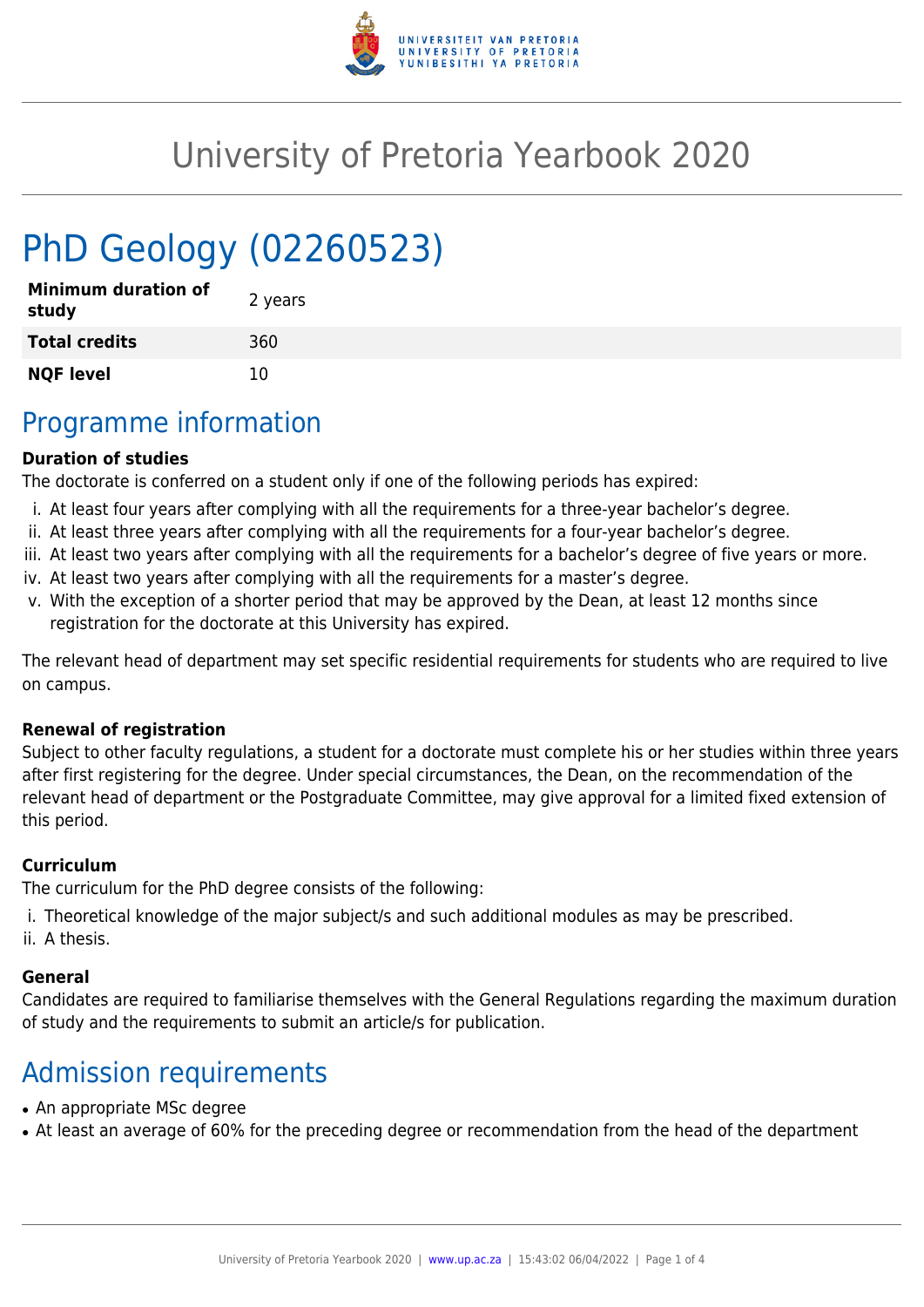

## University of Pretoria Yearbook 2020

# PhD Geology (02260523)

| <b>Minimum duration of</b><br>study | 2 years |
|-------------------------------------|---------|
| <b>Total credits</b>                | 360     |
| <b>NQF level</b>                    | 10      |

### Programme information

#### **Duration of studies**

The doctorate is conferred on a student only if one of the following periods has expired:

- i. At least four years after complying with all the requirements for a three-year bachelor's degree.
- ii. At least three years after complying with all the requirements for a four-year bachelor's degree.
- iii. At least two years after complying with all the requirements for a bachelor's degree of five years or more.
- iv. At least two years after complying with all the requirements for a master's degree.
- v. With the exception of a shorter period that may be approved by the Dean, at least 12 months since registration for the doctorate at this University has expired.

The relevant head of department may set specific residential requirements for students who are required to live on campus.

#### **Renewal of registration**

Subject to other faculty regulations, a student for a doctorate must complete his or her studies within three years after first registering for the degree. Under special circumstances, the Dean, on the recommendation of the relevant head of department or the Postgraduate Committee, may give approval for a limited fixed extension of this period.

#### **Curriculum**

The curriculum for the PhD degree consists of the following:

- i. Theoretical knowledge of the major subject/s and such additional modules as may be prescribed.
- ii. A thesis.

#### **General**

Candidates are required to familiarise themselves with the General Regulations regarding the maximum duration of study and the requirements to submit an article/s for publication.

### Admission requirements

- An appropriate MSc degree
- At least an average of 60% for the preceding degree or recommendation from the head of the department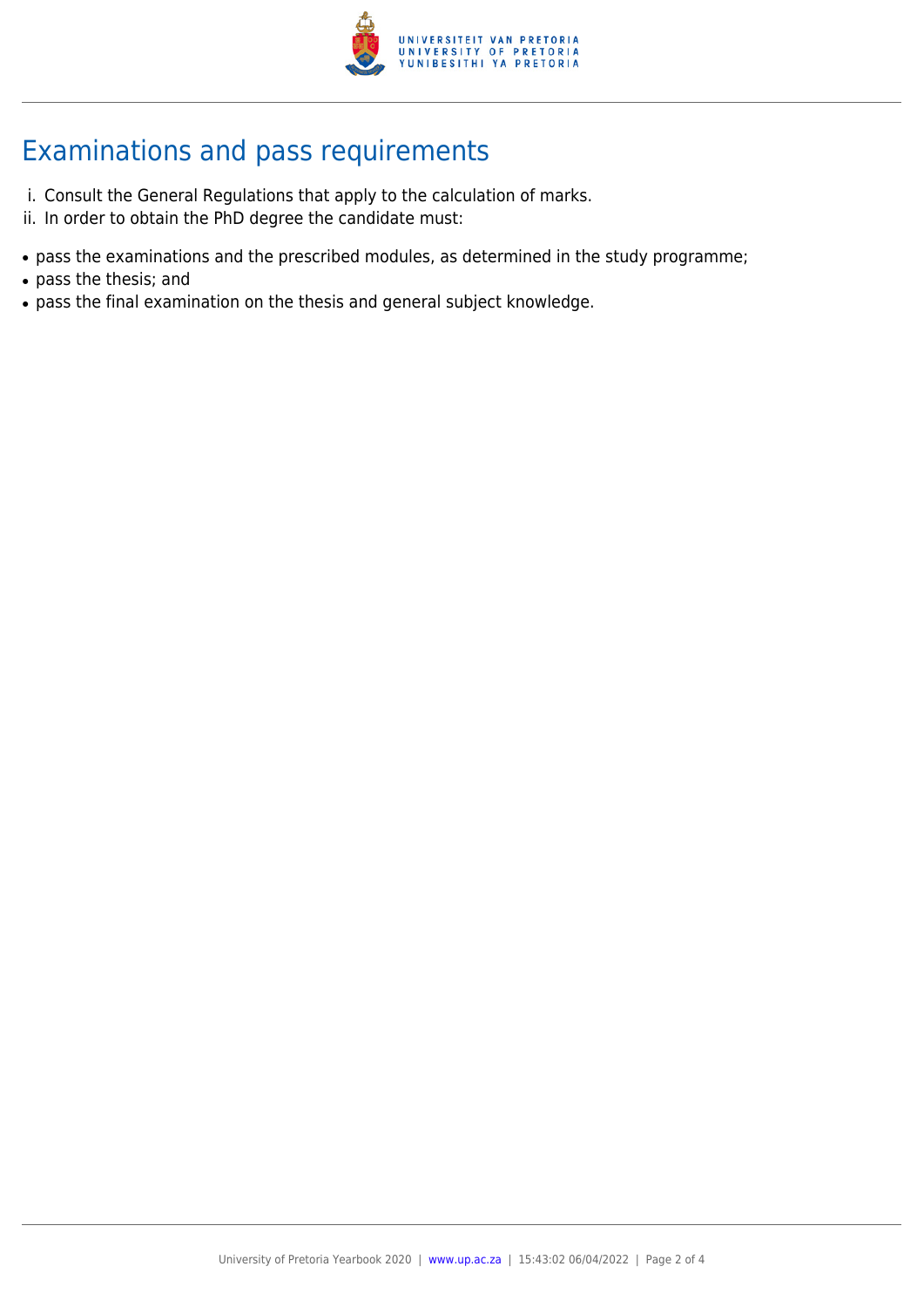

### Examinations and pass requirements

- i. Consult the General Regulations that apply to the calculation of marks.
- ii. In order to obtain the PhD degree the candidate must:
- pass the examinations and the prescribed modules, as determined in the study programme;
- pass the thesis; and
- pass the final examination on the thesis and general subject knowledge.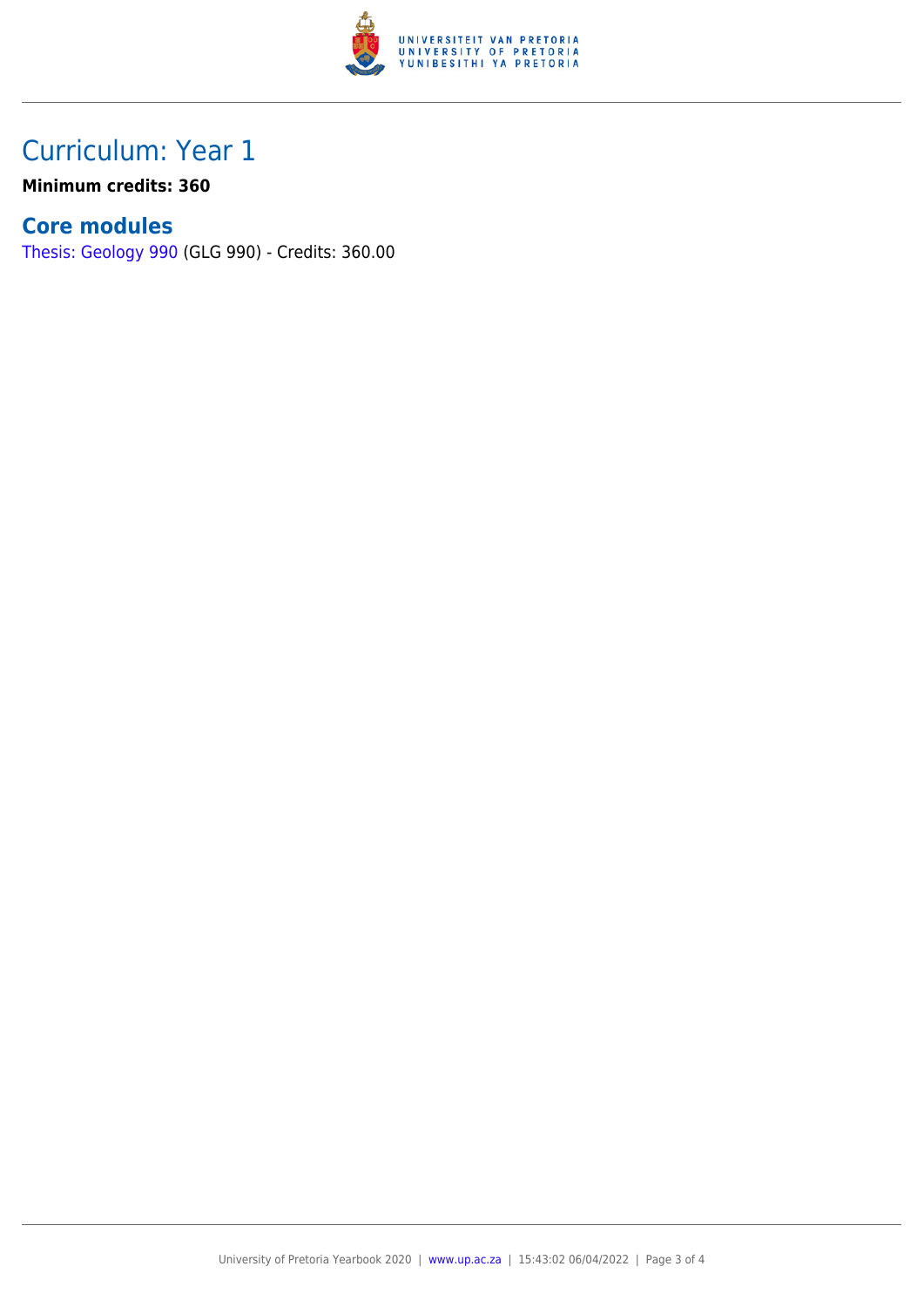

### Curriculum: Year 1

**Minimum credits: 360**

### **Core modules**

[Thesis: Geology 990](https://www.up.ac.za/faculty-of-education/yearbooks/2020/modules/view/GLG 990) (GLG 990) - Credits: 360.00